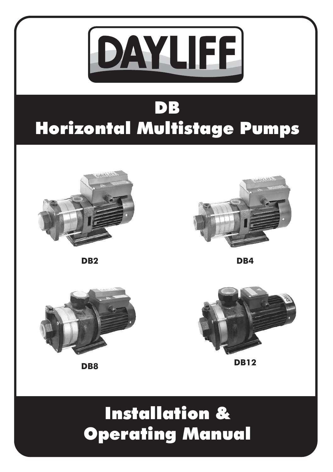

# DB Horizontal Multistage Pumps



**DB2 DB4**







**DB8 DB12** 

# Installation & Operating Manual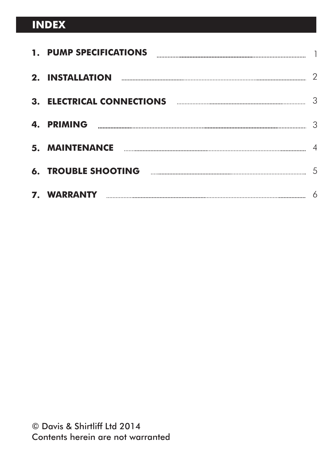### **INDEX**

|    | 1. PUMP SPECIFICATIONS                                                                                                                                                                                                                                                                                                                                               |   |
|----|----------------------------------------------------------------------------------------------------------------------------------------------------------------------------------------------------------------------------------------------------------------------------------------------------------------------------------------------------------------------|---|
|    | 2. INSTALLATION                                                                                                                                                                                                                                                                                                                                                      | 2 |
|    | <b>3. ELECTRICAL CONNECTIONS</b>                                                                                                                                                                                                                                                                                                                                     | 3 |
| 4. | <b>PRIMING</b>                                                                                                                                                                                                                                                                                                                                                       | 3 |
|    |                                                                                                                                                                                                                                                                                                                                                                      |   |
|    | $\begin{bmatrix} \begin{bmatrix} 0 & 0 & 0 \\ 0 & 0 & 0 \\ 0 & 0 & 0 \\ 0 & 0 & 0 \\ 0 & 0 & 0 \\ 0 & 0 & 0 \\ 0 & 0 & 0 \\ 0 & 0 & 0 & 0 \\ 0 & 0 & 0 & 0 \\ 0 & 0 & 0 & 0 \\ 0 & 0 & 0 & 0 & 0 \\ 0 & 0 & 0 & 0 & 0 \\ 0 & 0 & 0 & 0 & 0 \\ 0 & 0 & 0 & 0 & 0 \\ 0 & 0 & 0 & 0 & 0 & 0 \\ 0 & 0 & 0 & 0 & 0 & 0 \\ 0 & 0 & 0 & 0 & $<br><b>6. TROUBLE SHOOTING</b> | 5 |
|    |                                                                                                                                                                                                                                                                                                                                                                      | 6 |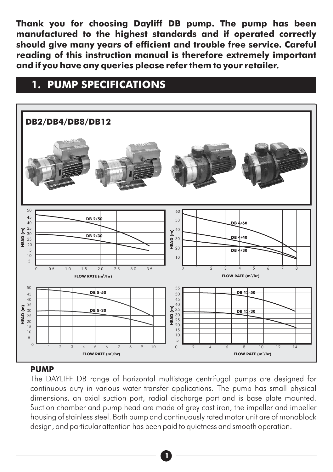**Thank you for choosing Dayliff DB pump. The pump has been manufactured to the highest standards and if operated correctly should give many years of efficient and trouble free service. Careful reading of this instruction manual is therefore extremely important and if you have any queries please refer them to your retailer.**

#### **DB 4/60 DB 4/40 DB 4/30** 30 20 10 ិ៍<br>**E**<br>អី <sub>20</sub><br>អី 20 50 60 **HEAD (m)** 20 **DB 2/50 DB 2/30** 5 10 15 35 30 25 40 45 50 **DB2/DB4/DB8/DB12**

### **1. PUMP SPECIFICATIONS**



#### **PUMP**

The DAYLIFF DB range of horizontal multistage centrifugal pumps are designed for continuous duty in various water transfer applications. The pump has small physical dimensions, an axial suction port, radial discharge port and is base plate mounted. Suction chamber and pump head are made of grey cast iron, the impeller and impeller housing of stainless steel. Both pump and continuously rated motor unit are of monoblock design, and particular attention has been paid to quietness and smooth operation.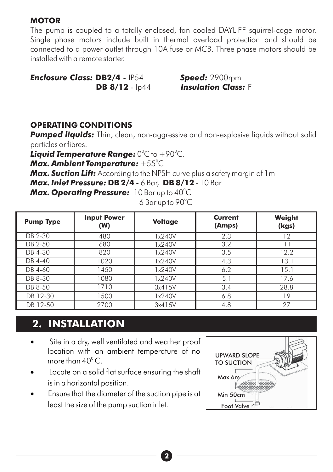#### **MOTOR**

The pump is coupled to a totally enclosed, fan cooled DAYLIFF squirrel-cage motor. Single phase motors include built in thermal overload protection and should be connected to a power outlet through 10A fuse or MCB. Three phase motors should be installed with a remote starter.

*Enclosure Class:* **DB2/4** - IP54 *Speed:* 2900rpm

*Losulation Class: F* 

#### **OPERATING CONDITIONS**

**Pumped liquids:** Thin, clean, non-aggressive and non-explosive liquids without solid particles or fibres.

**Liquid Temperature Range:** 0°C to +90°C.

Max. Ambient Temperature:  $+55^{\circ}$ C

*Max. Suction Lift:* According to the NPSH curve plus a safety margin of 1m

*Max. Inlet Pressure:* **DB 2/4** - 6 Bar, **DB 8/12** - 10 Bar

**Max. Operating Pressure:** 10 Bar up to 40<sup>°</sup>C

end to  $6$  Bar up to  $90^{\circ}$ C

| <b>Pump Type</b> | <b>Input Power</b><br>(W) | <b>Voltage</b> | <b>Current</b><br>(Amps) | Weight<br>(kgs) |
|------------------|---------------------------|----------------|--------------------------|-----------------|
| DB 2-30          | 480                       | 1x240V         | 2.3                      | 12              |
| DB 2-50          | 680                       | x240V          | $\overline{3.2}$         |                 |
| DB 4-30          | 820                       | 1x240V         | 3.5                      | 12.2            |
| DB 4-40          | 1020                      | 1x240V         | 4.3                      | 13.1            |
| DB 4-60          | 1450                      | 1x240V         | 6.2                      | 15.1            |
| DB 8-30          | 1080                      | 1x240V         | 5.1                      | 17.6            |
| DB 8-50          | 1710                      | 3x415V         | 3.4                      | 28.8            |
| DB 12-30         | 1500                      | 1x240V         | 6.8                      | $\overline{9}$  |
| DB 12-50         | 2700                      | 3x415V         | 4.8                      | 27              |

### **2. INSTALLATION**

- Site in a dry, well ventilated and weather proof location with an ambient temperature of no more than  $40^{\circ}$  C.
- Locate on a solid flat surface ensuring the shaft is in a horizontal position.
- · Ensure that the diameter of the suction pipe is at least the size of the pump suction inlet. Foot Valve

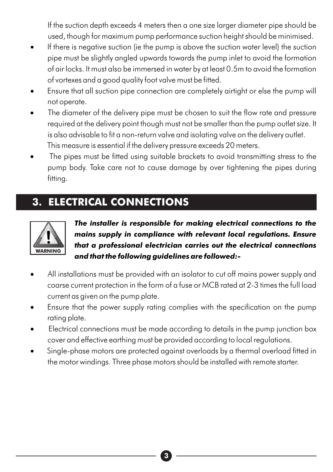If the suction depth exceeds 4 meters then a one size larger diameter pipe s hould be used, though for maximum pump performance suction height should be minimised.

- If there is negative suction (ie the pump is above the suction water level) the suction pipe must be slightly angled upwards towards the pump inlet to avoid the formation of air locks. It must also be immersed in water by at least 0.5m to avoid the formation of vortexes and a good quality foot valve must be fitted.
- Ensure that all suction pipe connection are completely airtight or else the pump will not operate.
- The diameter of the delivery pipe must be chosen to suit the flow rate and pressure required at the delivery point though must not be smaller than the pump outlet size. It is also advisable to fit a non-return valve and isolating valve on the delivery outlet. This measure is essential if the delivery pressure exceeds 20 meters.
- The pipes must be fitted using suitable brackets to avoid transmitting stress to the pump body. Take care not to cause damage by over tightening the pipes during fitting.

## **3. ELECTRICAL CONNECTIONS**



*The installer is responsible for making electrical connections to the mains supply in compliance with relevant local regulations. Ensure that a professional electrician carries out the electrical connections and that the following guidelines are followed:-*

- All installations must be provided with an isolator to cut off mains power supply and coarse current protection in the form of a fuse or MCB rated at 2-3 times the full load current as given on the pump plate.
- Ensure that the power supply rating complies with the specification on the pump rating plate.
- · Electrical connections must be made according to details in the pump junction box cover and effective earthing must be provided according to local regulations.
- · Single-phase motors are protected against overloads by a thermal overload fitted in the motor windings. Three phase motors should be installed with remote starter.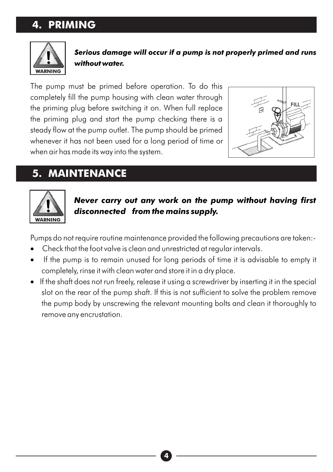### **4. PRIMING**



*Serious damage will occur if a pump is not properly primed and runs without water.*

The pump must be primed before operation. To do this completely fill the pump housing with clean water through the priming plug before switching it on. When full replace the priming plug and start the pump checking there is a steady flow at the pump outlet. The pump should be primed whenever it has not been used for a long period of time or when air has made its way into the system.



### **5. MAINTENANCE**



*Never carry out any work on the pump without having first disconnected from the mains supply.*

Pumps do not require routine maintenance provided the following precautions are taken:-

- · Check that the foot valve is clean and unrestricted at regular intervals.
- If the pump is to remain unused for long periods of time it is advisable to empty it completely, rinse it with clean water and store it in a dry place.
- · If the shaft does not run freely, release it using a screwdriver by inserting it in the special slot on the rear of the pump shaft. If this is not sufficient to solve the problem remove the pump body by unscrewing the relevant mounting bolts and clean it thoroughly to remove any encrustation.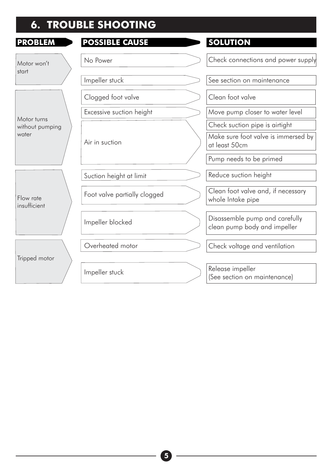## **6. TROUBLE SHOOTING**

| <b>PROBLEM</b>            | <b>OSSIBLE CAUSE</b>         | <b>SOLUTION</b>                                                |
|---------------------------|------------------------------|----------------------------------------------------------------|
| Motor won't<br>start      | No Power                     | Check connections and power supply                             |
|                           | Impeller stuck               | See section on maintenance                                     |
|                           | Clogged foot valve           | Clean foot valve                                               |
| Motor turns               | Excessive suction height     | Move pump closer to water level                                |
| without pumping           |                              | Check suction pipe is airtight                                 |
| water                     | Air in suction               | Make sure foot valve is immersed by<br>at least 50cm           |
|                           |                              | Pump needs to be primed                                        |
|                           | Suction height at limit      | Reduce suction height                                          |
| Flow rate<br>insufficient | Foot valve partially clogged | Clean foot valve and, if necessary<br>whole Intake pipe        |
|                           | Impeller blocked             | Disassemble pump and carefully<br>clean pump body and impeller |
|                           | Overheated motor             | Check voltage and ventilation                                  |
| Tripped motor             |                              |                                                                |
|                           | Impeller stuck               | Release impeller<br>(See section on maintenance)               |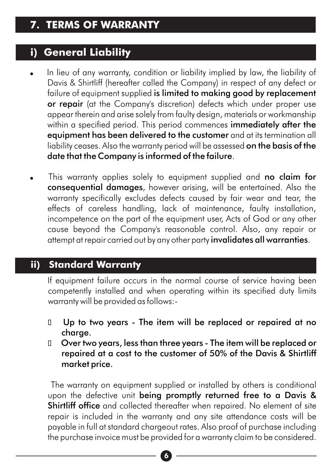#### **i) General Liability**

- In lieu of any warranty, condition or liability implied by law, the liability of Davis & Shirtliff (hereafter called the Company) in respect of any defect or failure of equipment supplied is limited to making good by replacement or repair (at the Company's discretion) defects which under proper use appear therein and arise solely from faulty design, materials or workmanship within a specified period. This period commences immediately after the equipment has been delivered to the customer and at its termination all liability ceases. Also the warranty period will be assessed on the basis of the date that the Company is informed of the failure.
- This warranty applies solely to equipment supplied and no claim for consequential damages, however arising, will be entertained. Also the warranty specifically excludes defects caused by fair wear and tear, the effects of careless handling, lack of maintenance, faulty installation, incompetence on the part of the equipment user, Acts of God or any other cause beyond the Company's reasonable control. Also, any repair or attempt at repair carried out by any other party invalidates all warranties.

#### **Standard Warranty** ii)

If equipment failure occurs in the normal course of service having been competently installed and when operating within its specified duty limits warranty will be provided as follows:-

- D Up to two years The item will be replaced or repaired at no charge.
- Over two years, less than three years The item will be replaced or repaired at a cost to the customer of 50% of the Davis & Shirtliff market price.

The warranty on equipment supplied or installed by others is conditional upon the defective unit being promptly returned free to a Davis & Shirtliff office and collected thereafter when repaired. No element of site repair is included in the warranty and any site attendance costs will be payable in full at standard chargeout rates. Also proof of purchase including the purchase invoice must be provided for a warranty claim to be considered.

**6**